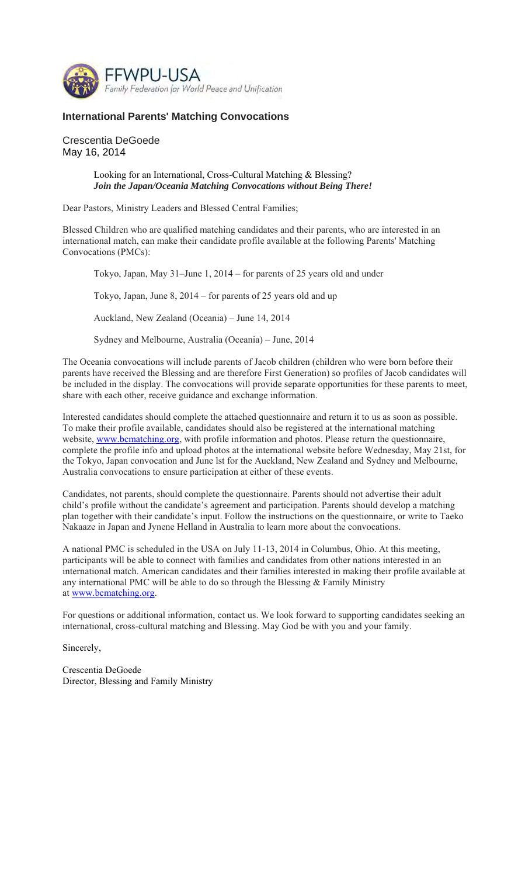

## **International Parents' Matching Convocations**

Crescentia DeGoede May 16, 2014

## Looking for an International, Cross-Cultural Matching & Blessing? *Join the Japan/Oceania Matching Convocations without Being There!*

Dear Pastors, Ministry Leaders and Blessed Central Families;

Blessed Children who are qualified matching candidates and their parents, who are interested in an international match, can make their candidate profile available at the following Parents' Matching Convocations (PMCs):

Tokyo, Japan, May 31–June 1, 2014 – for parents of 25 years old and under

Tokyo, Japan, June 8, 2014 – for parents of 25 years old and up

Auckland, New Zealand (Oceania) – June 14, 2014

Sydney and Melbourne, Australia (Oceania) – June, 2014

The Oceania convocations will include parents of Jacob children (children who were born before their parents have received the Blessing and are therefore First Generation) so profiles of Jacob candidates will be included in the display. The convocations will provide separate opportunities for these parents to meet, share with each other, receive guidance and exchange information.

Interested candidates should complete the attached questionnaire and return it to us as soon as possible. To make their profile available, candidates should also be registered at the international matching website, www.bcmatching.org, with profile information and photos. Please return the questionnaire, complete the profile info and upload photos at the international website before Wednesday, May 21st, for the Tokyo, Japan convocation and June lst for the Auckland, New Zealand and Sydney and Melbourne, Australia convocations to ensure participation at either of these events.

Candidates, not parents, should complete the questionnaire. Parents should not advertise their adult child's profile without the candidate's agreement and participation. Parents should develop a matching plan together with their candidate's input. Follow the instructions on the questionnaire, or write to Taeko Nakaaze in Japan and Jynene Helland in Australia to learn more about the convocations.

A national PMC is scheduled in the USA on July 11-13, 2014 in Columbus, Ohio. At this meeting, participants will be able to connect with families and candidates from other nations interested in an international match. American candidates and their families interested in making their profile available at any international PMC will be able to do so through the Blessing  $&$  Family Ministry at www.bcmatching.org.

For questions or additional information, contact us. We look forward to supporting candidates seeking an international, cross-cultural matching and Blessing. May God be with you and your family.

Sincerely,

Crescentia DeGoede Director, Blessing and Family Ministry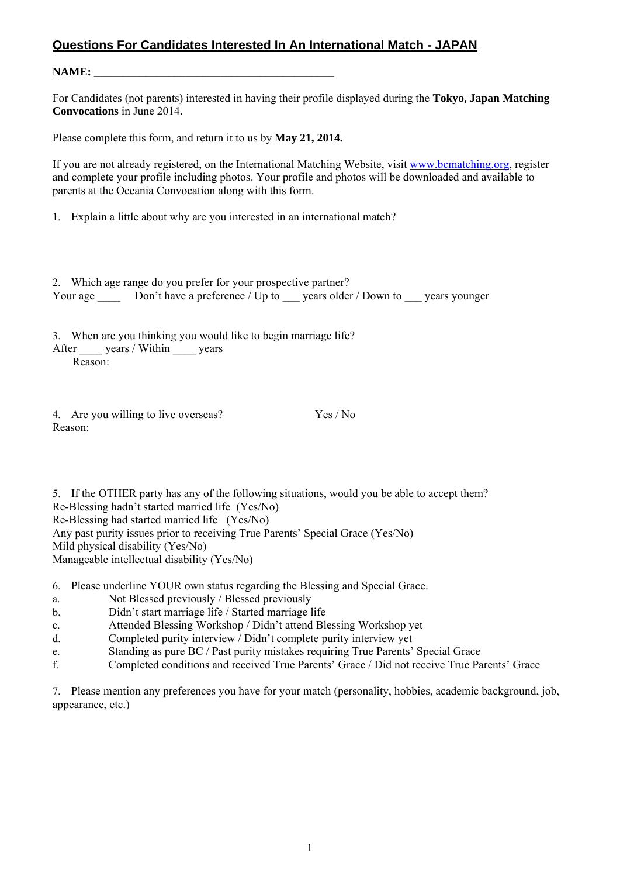## **Questions For Candidates Interested In An International Match - JAPAN**

**NAME:** 

For Candidates (not parents) interested in having their profile displayed during the **Tokyo, Japan Matching Convocations** in June 2014**.** 

Please complete this form, and return it to us by **May 21, 2014.** 

If you are not already registered, on the International Matching Website, visit www.bcmatching.org, register and complete your profile including photos. Your profile and photos will be downloaded and available to parents at the Oceania Convocation along with this form.

1. Explain a little about why are you interested in an international match?

| 2. Which age range do you prefer for your prospective partner? |                                                         |  |               |
|----------------------------------------------------------------|---------------------------------------------------------|--|---------------|
| Your age                                                       | Don't have a preference / $Up$ to years older / Down to |  | years younger |

3. When are you thinking you would like to begin marriage life?

After years / Within years Reason:

4. Are you willing to live overseas? Yes / No Reason:

5. If the OTHER party has any of the following situations, would you be able to accept them? Re-Blessing hadn't started married life (Yes/No) Re-Blessing had started married life (Yes/No) Any past purity issues prior to receiving True Parents' Special Grace (Yes/No) Mild physical disability (Yes/No) Manageable intellectual disability (Yes/No)

6. Please underline YOUR own status regarding the Blessing and Special Grace.

a. Not Blessed previously / Blessed previously

b. Didn't start marriage life / Started marriage life

- c. Attended Blessing Workshop / Didn't attend Blessing Workshop yet
- d. Completed purity interview / Didn't complete purity interview yet
- e. Standing as pure BC / Past purity mistakes requiring True Parents' Special Grace
- f. Completed conditions and received True Parents' Grace / Did not receive True Parents' Grace

7. Please mention any preferences you have for your match (personality, hobbies, academic background, job, appearance, etc.)